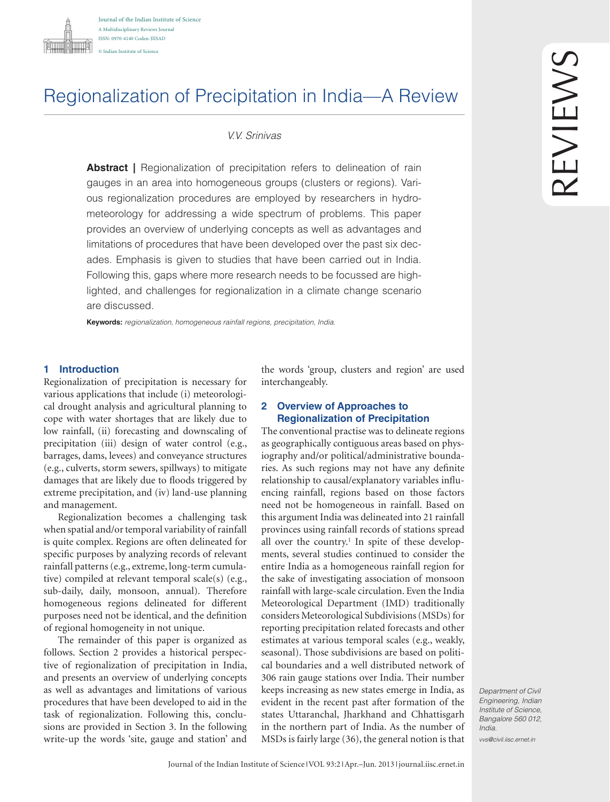

# Regionalization of Precipitation in India—A Review

# *V.V. Srinivas*

**Abstract** | Regionalization of precipitation refers to delineation of rain gauges in an area into homogeneous groups (clusters or regions). Various regionalization procedures are employed by researchers in hydrometeorology for addressing a wide spectrum of problems. This paper provides an overview of underlying concepts as well as advantages and limitations of procedures that have been developed over the past six decades. Emphasis is given to studies that have been carried out in India. Following this, gaps where more research needs to be focussed are highlighted, and challenges for regionalization in a climate change scenario are discussed.

**Keywords:** *regionalization, homogeneous rainfall regions, precipitation, India.*

## **1 Introduction**

Regionalization of precipitation is necessary for various applications that include (i) meteorological drought analysis and agricultural planning to cope with water shortages that are likely due to low rainfall, (ii) forecasting and downscaling of precipitation (iii) design of water control (e.g., barrages, dams, levees) and conveyance structures (e.g., culverts, storm sewers, spillways) to mitigate damages that are likely due to floods triggered by extreme precipitation, and (iv) land-use planning and management.

Regionalization becomes a challenging task when spatial and/or temporal variability of rainfall is quite complex. Regions are often delineated for specific purposes by analyzing records of relevant rainfall patterns (e.g., extreme, long-term cumulative) compiled at relevant temporal scale(s) (e.g., sub-daily, daily, monsoon, annual). Therefore homogeneous regions delineated for different purposes need not be identical, and the definition of regional homogeneity in not unique.

The remainder of this paper is organized as follows. Section 2 provides a historical perspective of regionalization of precipitation in India, and presents an overview of underlying concepts as well as advantages and limitations of various procedures that have been developed to aid in the task of regionalization. Following this, conclusions are provided in Section 3. In the following write-up the words 'site, gauge and station' and

the words 'group, clusters and region' are used interchangeably.

### **2 Overview of Approaches to Regionalization of Precipitation**

The conventional practise was to delineate regions as geographically contiguous areas based on physiography and/or political/administrative boundaries. As such regions may not have any definite relationship to causal/explanatory variables influencing rainfall, regions based on those factors need not be homogeneous in rainfall. Based on this argument India was delineated into 21 rainfall provinces using rainfall records of stations spread all over the country.<sup>1</sup> In spite of these developments, several studies continued to consider the entire India as a homogeneous rainfall region for the sake of investigating association of monsoon rainfall with large-scale circulation. Even the India Meteorological Department (IMD) traditionally considers Meteorological Subdivisions (MSDs) for reporting precipitation related forecasts and other estimates at various temporal scales (e.g., weakly, seasonal). Those subdivisions are based on political boundaries and a well distributed network of 306 rain gauge stations over India. Their number keeps increasing as new states emerge in India, as evident in the recent past after formation of the states Uttaranchal, Jharkhand and Chhattisgarh in the northern part of India. As the number of MSDs is fairly large (36), the general notion is that

*Department of Civil Engineering, Indian Institute of Science, Bangalore 560 012, India.*

*vvs@civil.iisc.ernet.in*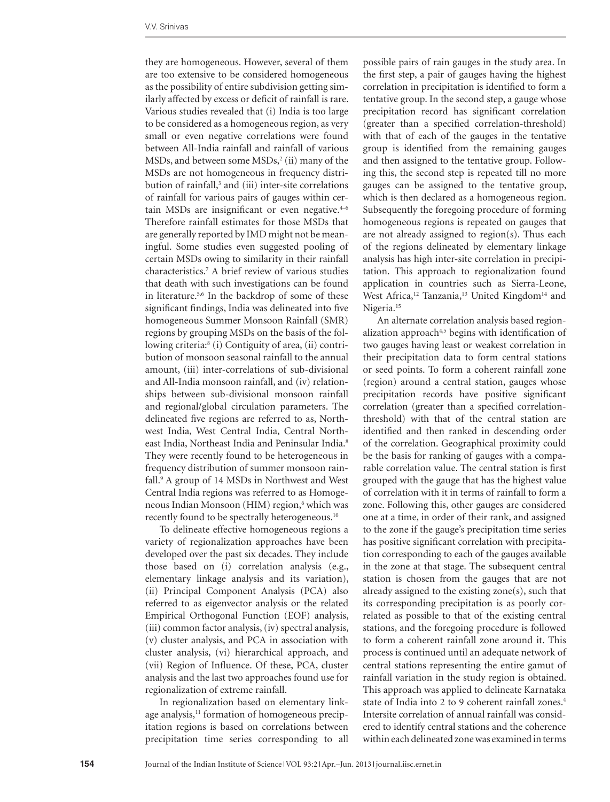they are homogeneous. However, several of them are too extensive to be considered homogeneous as the possibility of entire subdivision getting similarly affected by excess or deficit of rainfall is rare. Various studies revealed that (i) India is too large to be considered as a homogeneous region, as very small or even negative correlations were found between All-India rainfall and rainfall of various  $MSDs$ , and between some  $MSDs$ <sup>2</sup> (ii) many of the MSDs are not homogeneous in frequency distribution of rainfall,<sup>3</sup> and (iii) inter-site correlations of rainfall for various pairs of gauges within certain MSDs are insignificant or even negative. $4-6$ Therefore rainfall estimates for those MSDs that are generally reported by IMD might not be meaningful. Some studies even suggested pooling of certain MSDs owing to similarity in their rainfall characteristics.7 A brief review of various studies that death with such investigations can be found in literature.5,6 In the backdrop of some of these significant findings, India was delineated into five homogeneous Summer Monsoon Rainfall (SMR) regions by grouping MSDs on the basis of the following criteria:8 (i) Contiguity of area, (ii) contribution of monsoon seasonal rainfall to the annual amount, (iii) inter-correlations of sub-divisional and All-India monsoon rainfall, and (iv) relationships between sub-divisional monsoon rainfall and regional/global circulation parameters. The delineated five regions are referred to as, Northwest India, West Central India, Central Northeast India, Northeast India and Peninsular India.<sup>8</sup> They were recently found to be heterogeneous in frequency distribution of summer monsoon rainfall.<sup>9</sup> A group of 14 MSDs in Northwest and West Central India regions was referred to as Homogeneous Indian Monsoon (HIM) region,<sup>6</sup> which was recently found to be spectrally heterogeneous.10

To delineate effective homogeneous regions a variety of regionalization approaches have been developed over the past six decades. They include those based on (i) correlation analysis (e.g., elementary linkage analysis and its variation), (ii) Principal Component Analysis (PCA) also referred to as eigenvector analysis or the related Empirical Orthogonal Function (EOF) analysis, (iii) common factor analysis, (iv) spectral analysis, (v) cluster analysis, and PCA in association with cluster analysis, (vi) hierarchical approach, and (vii) Region of Influence. Of these, PCA, cluster analysis and the last two approaches found use for regionalization of extreme rainfall.

In regionalization based on elementary linkage analysis,<sup>11</sup> formation of homogeneous precipitation regions is based on correlations between precipitation time series corresponding to all

possible pairs of rain gauges in the study area. In the first step, a pair of gauges having the highest correlation in precipitation is identified to form a tentative group. In the second step, a gauge whose precipitation record has significant correlation (greater than a specified correlation-threshold) with that of each of the gauges in the tentative group is identified from the remaining gauges and then assigned to the tentative group. Following this, the second step is repeated till no more gauges can be assigned to the tentative group, which is then declared as a homogeneous region. Subsequently the foregoing procedure of forming homogeneous regions is repeated on gauges that are not already assigned to region(s). Thus each of the regions delineated by elementary linkage analysis has high inter-site correlation in precipitation. This approach to regionalization found application in countries such as Sierra-Leone, West Africa,<sup>12</sup> Tanzania,<sup>13</sup> United Kingdom<sup>14</sup> and Nigeria.<sup>15</sup>

An alternate correlation analysis based regionalization approach<sup>4,5</sup> begins with identification of two gauges having least or weakest correlation in their precipitation data to form central stations or seed points. To form a coherent rainfall zone (region) around a central station, gauges whose precipitation records have positive significant correlation (greater than a specified correlationthreshold) with that of the central station are identified and then ranked in descending order of the correlation. Geographical proximity could be the basis for ranking of gauges with a comparable correlation value. The central station is first grouped with the gauge that has the highest value of correlation with it in terms of rainfall to form a zone. Following this, other gauges are considered one at a time, in order of their rank, and assigned to the zone if the gauge's precipitation time series has positive significant correlation with precipitation corresponding to each of the gauges available in the zone at that stage. The subsequent central station is chosen from the gauges that are not already assigned to the existing zone(s), such that its corresponding precipitation is as poorly correlated as possible to that of the existing central stations, and the foregoing procedure is followed to form a coherent rainfall zone around it. This process is continued until an adequate network of central stations representing the entire gamut of rainfall variation in the study region is obtained. This approach was applied to delineate Karnataka state of India into 2 to 9 coherent rainfall zones.<sup>4</sup> Intersite correlation of annual rainfall was considered to identify central stations and the coherence within each delineated zone was examined in terms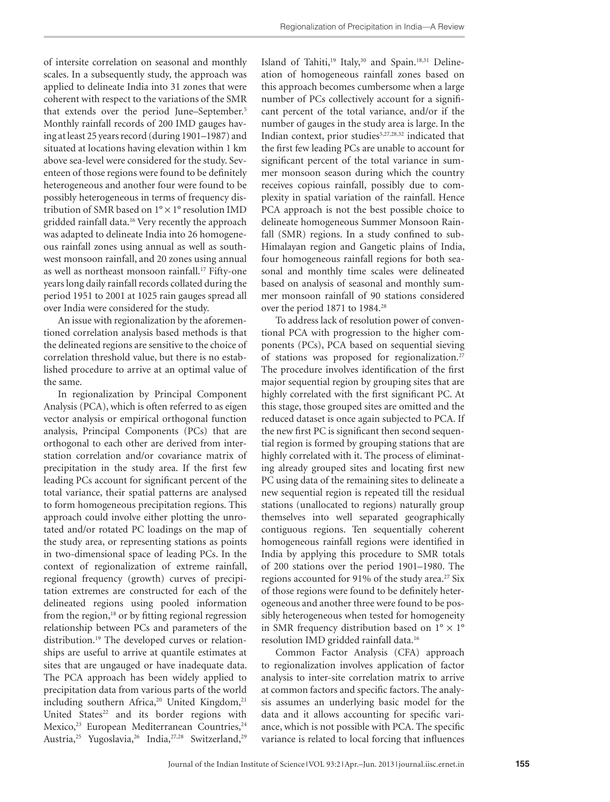of intersite correlation on seasonal and monthly scales. In a subsequently study, the approach was applied to delineate India into 31 zones that were coherent with respect to the variations of the SMR that extends over the period June–September.<sup>5</sup> Monthly rainfall records of 200 IMD gauges having at least 25 years record (during 1901–1987) and situated at locations having elevation within 1 km above sea-level were considered for the study. Seventeen of those regions were found to be definitely heterogeneous and another four were found to be possibly heterogeneous in terms of frequency distribution of SMR based on 1° × 1° resolution IMD gridded rainfall data.16 Very recently the approach was adapted to delineate India into 26 homogeneous rainfall zones using annual as well as southwest monsoon rainfall, and 20 zones using annual as well as northeast monsoon rainfall.<sup>17</sup> Fifty-one years long daily rainfall records collated during the period 1951 to 2001 at 1025 rain gauges spread all over India were considered for the study.

An issue with regionalization by the aforementioned correlation analysis based methods is that the delineated regions are sensitive to the choice of correlation threshold value, but there is no established procedure to arrive at an optimal value of the same.

In regionalization by Principal Component Analysis (PCA), which is often referred to as eigen vector analysis or empirical orthogonal function analysis, Principal Components (PCs) that are orthogonal to each other are derived from interstation correlation and/or covariance matrix of precipitation in the study area. If the first few leading PCs account for significant percent of the total variance, their spatial patterns are analysed to form homogeneous precipitation regions. This approach could involve either plotting the unrotated and/or rotated PC loadings on the map of the study area, or representing stations as points in two-dimensional space of leading PCs. In the context of regionalization of extreme rainfall, regional frequency (growth) curves of precipitation extremes are constructed for each of the delineated regions using pooled information from the region,<sup>18</sup> or by fitting regional regression relationship between PCs and parameters of the distribution.19 The developed curves or relationships are useful to arrive at quantile estimates at sites that are ungauged or have inadequate data. The PCA approach has been widely applied to precipitation data from various parts of the world including southern Africa,<sup>20</sup> United Kingdom,<sup>21</sup> United States<sup>22</sup> and its border regions with Mexico,<sup>23</sup> European Mediterranean Countries,<sup>24</sup> Austria,25 Yugoslavia,26 India,27,28 Switzerland,29

Island of Tahiti,<sup>19</sup> Italy,<sup>30</sup> and Spain.<sup>18,31</sup> Delineation of homogeneous rainfall zones based on this approach becomes cumbersome when a large number of PCs collectively account for a significant percent of the total variance, and/or if the number of gauges in the study area is large. In the Indian context, prior studies<sup>5,27,28,32</sup> indicated that the first few leading PCs are unable to account for significant percent of the total variance in summer monsoon season during which the country receives copious rainfall, possibly due to complexity in spatial variation of the rainfall. Hence PCA approach is not the best possible choice to delineate homogeneous Summer Monsoon Rainfall (SMR) regions. In a study confined to sub-Himalayan region and Gangetic plains of India, four homogeneous rainfall regions for both seasonal and monthly time scales were delineated based on analysis of seasonal and monthly summer monsoon rainfall of 90 stations considered over the period 1871 to 1984.<sup>28</sup>

To address lack of resolution power of conventional PCA with progression to the higher components (PCs), PCA based on sequential sieving of stations was proposed for regionalization.27 The procedure involves identification of the first major sequential region by grouping sites that are highly correlated with the first significant PC. At this stage, those grouped sites are omitted and the reduced dataset is once again subjected to PCA. If the new first PC is significant then second sequential region is formed by grouping stations that are highly correlated with it. The process of eliminating already grouped sites and locating first new PC using data of the remaining sites to delineate a new sequential region is repeated till the residual stations (unallocated to regions) naturally group themselves into well separated geographically contiguous regions. Ten sequentially coherent homogeneous rainfall regions were identified in India by applying this procedure to SMR totals of 200 stations over the period 1901–1980. The regions accounted for 91% of the study area.<sup>27</sup> Six of those regions were found to be definitely heterogeneous and another three were found to be possibly heterogeneous when tested for homogeneity in SMR frequency distribution based on  $1^{\circ} \times 1^{\circ}$ resolution IMD gridded rainfall data.16

Common Factor Analysis (CFA) approach to regionalization involves application of factor analysis to inter-site correlation matrix to arrive at common factors and specific factors. The analysis assumes an underlying basic model for the data and it allows accounting for specific variance, which is not possible with PCA. The specific variance is related to local forcing that influences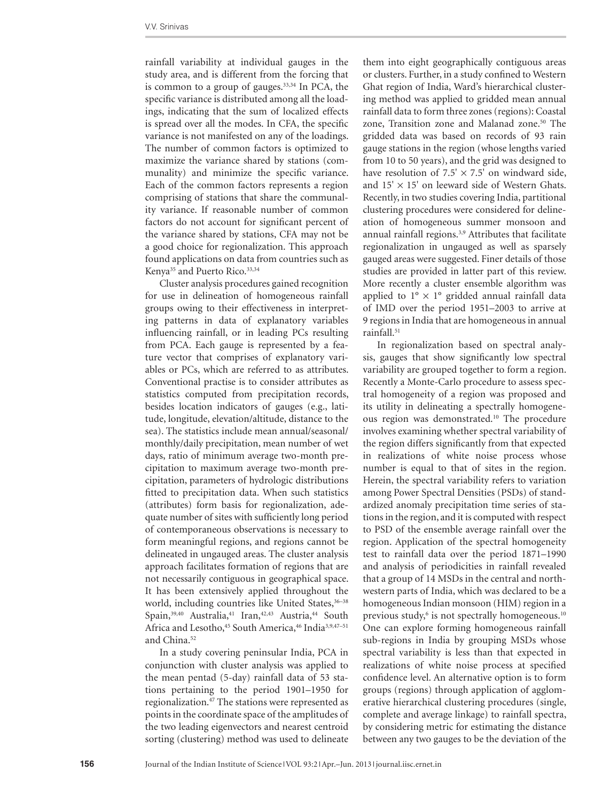rainfall variability at individual gauges in the study area, and is different from the forcing that is common to a group of gauges. $33,34$  In PCA, the specific variance is distributed among all the loadings, indicating that the sum of localized effects is spread over all the modes. In CFA, the specific variance is not manifested on any of the loadings. The number of common factors is optimized to maximize the variance shared by stations (communality) and minimize the specific variance. Each of the common factors represents a region comprising of stations that share the communality variance. If reasonable number of common factors do not account for significant percent of the variance shared by stations, CFA may not be a good choice for regionalization. This approach found applications on data from countries such as Kenya<sup>35</sup> and Puerto Rico.<sup>33,34</sup>

Cluster analysis procedures gained recognition for use in delineation of homogeneous rainfall groups owing to their effectiveness in interpreting patterns in data of explanatory variables influencing rainfall, or in leading PCs resulting from PCA. Each gauge is represented by a feature vector that comprises of explanatory variables or PCs, which are referred to as attributes. Conventional practise is to consider attributes as statistics computed from precipitation records, besides location indicators of gauges (e.g., latitude, longitude, elevation/altitude, distance to the sea). The statistics include mean annual/seasonal/ monthly/daily precipitation, mean number of wet days, ratio of minimum average two-month precipitation to maximum average two-month precipitation, parameters of hydrologic distributions fitted to precipitation data. When such statistics (attributes) form basis for regionalization, adequate number of sites with sufficiently long period of contemporaneous observations is necessary to form meaningful regions, and regions cannot be delineated in ungauged areas. The cluster analysis approach facilitates formation of regions that are not necessarily contiguous in geographical space. It has been extensively applied throughout the world, including countries like United States, 36-38 Spain,<sup>39,40</sup> Australia,<sup>41</sup> Iran,<sup>42,43</sup> Austria,<sup>44</sup> South Africa and Lesotho,<sup>45</sup> South America,<sup>46</sup> India<sup>3,9,47-51</sup> and China.<sup>52</sup>

In a study covering peninsular India, PCA in conjunction with cluster analysis was applied to the mean pentad (5-day) rainfall data of 53 stations pertaining to the period 1901–1950 for regionalization.47 The stations were represented as points in the coordinate space of the amplitudes of the two leading eigenvectors and nearest centroid sorting (clustering) method was used to delineate

them into eight geographically contiguous areas or clusters. Further, in a study confined to Western Ghat region of India, Ward's hierarchical clustering method was applied to gridded mean annual rainfall data to form three zones (regions): Coastal zone, Transition zone and Malanad zone.<sup>50</sup> The gridded data was based on records of 93 rain gauge stations in the region (whose lengths varied from 10 to 50 years), and the grid was designed to have resolution of  $7.5' \times 7.5'$  on windward side, and  $15' \times 15'$  on leeward side of Western Ghats. Recently, in two studies covering India, partitional clustering procedures were considered for delineation of homogeneous summer monsoon and annual rainfall regions.<sup>3,9</sup> Attributes that facilitate regionalization in ungauged as well as sparsely gauged areas were suggested. Finer details of those studies are provided in latter part of this review. More recently a cluster ensemble algorithm was applied to  $1^{\circ} \times 1^{\circ}$  gridded annual rainfall data of IMD over the period 1951–2003 to arrive at 9 regions in India that are homogeneous in annual rainfall.<sup>51</sup>

In regionalization based on spectral analysis, gauges that show significantly low spectral variability are grouped together to form a region. Recently a Monte-Carlo procedure to assess spectral homogeneity of a region was proposed and its utility in delineating a spectrally homogeneous region was demonstrated.<sup>10</sup> The procedure involves examining whether spectral variability of the region differs significantly from that expected in realizations of white noise process whose number is equal to that of sites in the region. Herein, the spectral variability refers to variation among Power Spectral Densities (PSDs) of standardized anomaly precipitation time series of stations in the region, and it is computed with respect to PSD of the ensemble average rainfall over the region. Application of the spectral homogeneity test to rainfall data over the period 1871–1990 and analysis of periodicities in rainfall revealed that a group of 14 MSDs in the central and northwestern parts of India, which was declared to be a homogeneous Indian monsoon (HIM) region in a previous study,<sup>6</sup> is not spectrally homogeneous.<sup>10</sup> One can explore forming homogeneous rainfall sub-regions in India by grouping MSDs whose spectral variability is less than that expected in realizations of white noise process at specified confidence level. An alternative option is to form groups (regions) through application of agglomerative hierarchical clustering procedures (single, complete and average linkage) to rainfall spectra, by considering metric for estimating the distance between any two gauges to be the deviation of the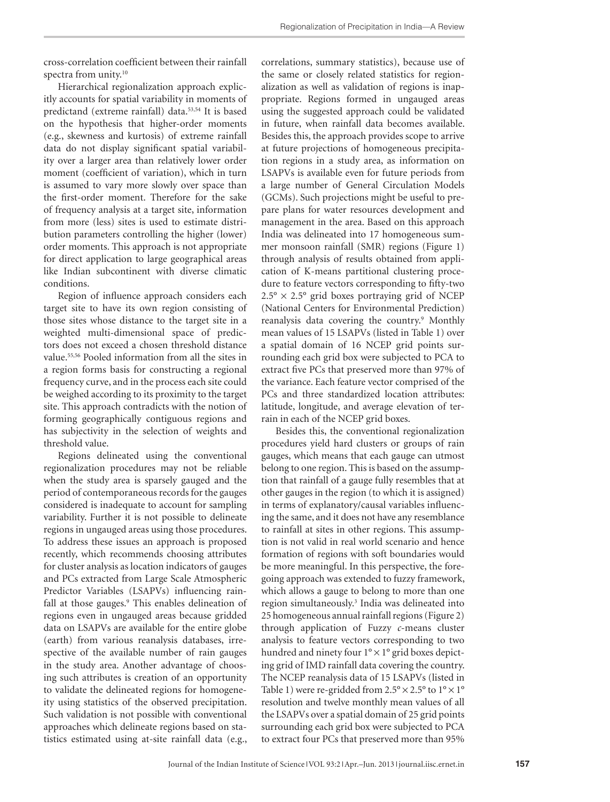cross-correlation coefficient between their rainfall spectra from unity.10

Hierarchical regionalization approach explicitly accounts for spatial variability in moments of predictand (extreme rainfall) data.53,54 It is based on the hypothesis that higher-order moments (e.g., skewness and kurtosis) of extreme rainfall data do not display significant spatial variability over a larger area than relatively lower order moment (coefficient of variation), which in turn is assumed to vary more slowly over space than the first-order moment. Therefore for the sake of frequency analysis at a target site, information from more (less) sites is used to estimate distribution parameters controlling the higher (lower) order moments. This approach is not appropriate for direct application to large geographical areas like Indian subcontinent with diverse climatic conditions.

Region of influence approach considers each target site to have its own region consisting of those sites whose distance to the target site in a weighted multi-dimensional space of predictors does not exceed a chosen threshold distance value.55,56 Pooled information from all the sites in a region forms basis for constructing a regional frequency curve, and in the process each site could be weighed according to its proximity to the target site. This approach contradicts with the notion of forming geographically contiguous regions and has subjectivity in the selection of weights and threshold value.

Regions delineated using the conventional regionalization procedures may not be reliable when the study area is sparsely gauged and the period of contemporaneous records for the gauges considered is inadequate to account for sampling variability. Further it is not possible to delineate regions in ungauged areas using those procedures. To address these issues an approach is proposed recently, which recommends choosing attributes for cluster analysis as location indicators of gauges and PCs extracted from Large Scale Atmospheric Predictor Variables (LSAPVs) influencing rainfall at those gauges.<sup>9</sup> This enables delineation of regions even in ungauged areas because gridded data on LSAPVs are available for the entire globe (earth) from various reanalysis databases, irrespective of the available number of rain gauges in the study area. Another advantage of choosing such attributes is creation of an opportunity to validate the delineated regions for homogeneity using statistics of the observed precipitation. Such validation is not possible with conventional approaches which delineate regions based on statistics estimated using at-site rainfall data (e.g.,

correlations, summary statistics), because use of the same or closely related statistics for regionalization as well as validation of regions is inappropriate. Regions formed in ungauged areas using the suggested approach could be validated in future, when rainfall data becomes available. Besides this, the approach provides scope to arrive at future projections of homogeneous precipitation regions in a study area, as information on LSAPVs is available even for future periods from a large number of General Circulation Models (GCMs). Such projections might be useful to prepare plans for water resources development and management in the area. Based on this approach India was delineated into 17 homogeneous summer monsoon rainfall (SMR) regions (Figure 1) through analysis of results obtained from application of K-means partitional clustering procedure to feature vectors corresponding to fifty-two  $2.5^{\circ} \times 2.5^{\circ}$  grid boxes portraying grid of NCEP (National Centers for Environmental Prediction) reanalysis data covering the country.<sup>9</sup> Monthly mean values of 15 LSAPVs (listed in Table 1) over a spatial domain of 16 NCEP grid points surrounding each grid box were subjected to PCA to extract five PCs that preserved more than 97% of the variance. Each feature vector comprised of the PCs and three standardized location attributes: latitude, longitude, and average elevation of terrain in each of the NCEP grid boxes.

Besides this, the conventional regionalization procedures yield hard clusters or groups of rain gauges, which means that each gauge can utmost belong to one region. This is based on the assumption that rainfall of a gauge fully resembles that at other gauges in the region (to which it is assigned) in terms of explanatory/causal variables influencing the same, and it does not have any resemblance to rainfall at sites in other regions. This assumption is not valid in real world scenario and hence formation of regions with soft boundaries would be more meaningful. In this perspective, the foregoing approach was extended to fuzzy framework, which allows a gauge to belong to more than one region simultaneously.3 India was delineated into 25 homogeneous annual rainfall regions (Figure 2) through application of Fuzzy *c*-means cluster analysis to feature vectors corresponding to two hundred and ninety four 1° × 1° grid boxes depicting grid of IMD rainfall data covering the country. The NCEP reanalysis data of 15 LSAPVs (listed in Table 1) were re-gridded from  $2.5^{\circ} \times 2.5^{\circ}$  to  $1^{\circ} \times 1^{\circ}$ resolution and twelve monthly mean values of all the LSAPVs over a spatial domain of 25 grid points surrounding each grid box were subjected to PCA to extract four PCs that preserved more than 95%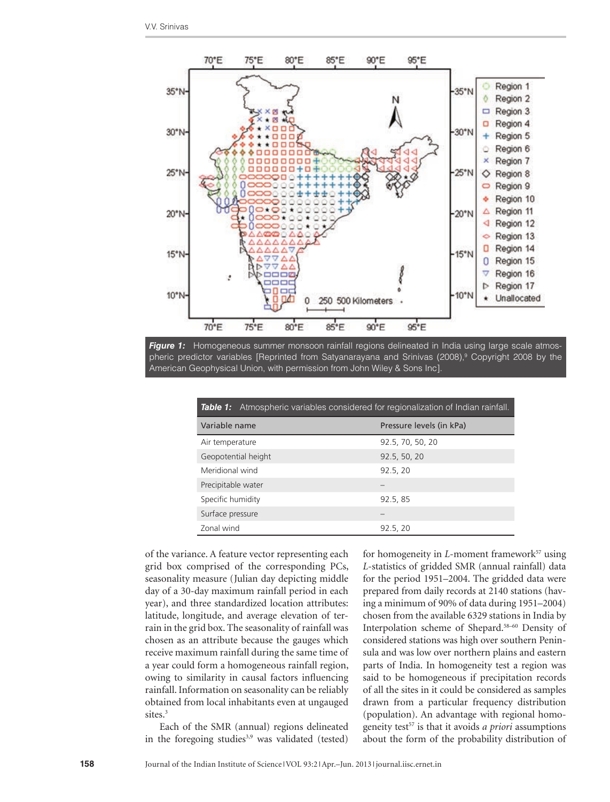



| <b>Table 1:</b> Atmospheric variables considered for regionalization of Indian rainfall. |                          |
|------------------------------------------------------------------------------------------|--------------------------|
| Variable name                                                                            | Pressure levels (in kPa) |
| Air temperature                                                                          | 92.5, 70, 50, 20         |
| Geopotential height                                                                      | 92.5, 50, 20             |
| Meridional wind                                                                          | 92.5, 20                 |
| Precipitable water                                                                       |                          |
| Specific humidity                                                                        | 92.5, 85                 |
| Surface pressure                                                                         |                          |
| Zonal wind                                                                               | 92.5, 20                 |

of the variance. A feature vector representing each grid box comprised of the corresponding PCs, seasonality measure (Julian day depicting middle day of a 30-day maximum rainfall period in each year), and three standardized location attributes: latitude, longitude, and average elevation of terrain in the grid box. The seasonality of rainfall was chosen as an attribute because the gauges which receive maximum rainfall during the same time of a year could form a homogeneous rainfall region, owing to similarity in causal factors influencing rainfall. Information on seasonality can be reliably obtained from local inhabitants even at ungauged sites.<sup>3</sup>

Each of the SMR (annual) regions delineated in the foregoing studies $3,9$  was validated (tested)

for homogeneity in *L*-moment framework<sup>57</sup> using *L*-statistics of gridded SMR (annual rainfall) data for the period 1951–2004. The gridded data were prepared from daily records at 2140 stations (having a minimum of 90% of data during 1951–2004) chosen from the available 6329 stations in India by Interpolation scheme of Shepard.58–60 Density of considered stations was high over southern Peninsula and was low over northern plains and eastern parts of India. In homogeneity test a region was said to be homogeneous if precipitation records of all the sites in it could be considered as samples drawn from a particular frequency distribution (population). An advantage with regional homogeneity test57 is that it avoids *a priori* assumptions about the form of the probability distribution of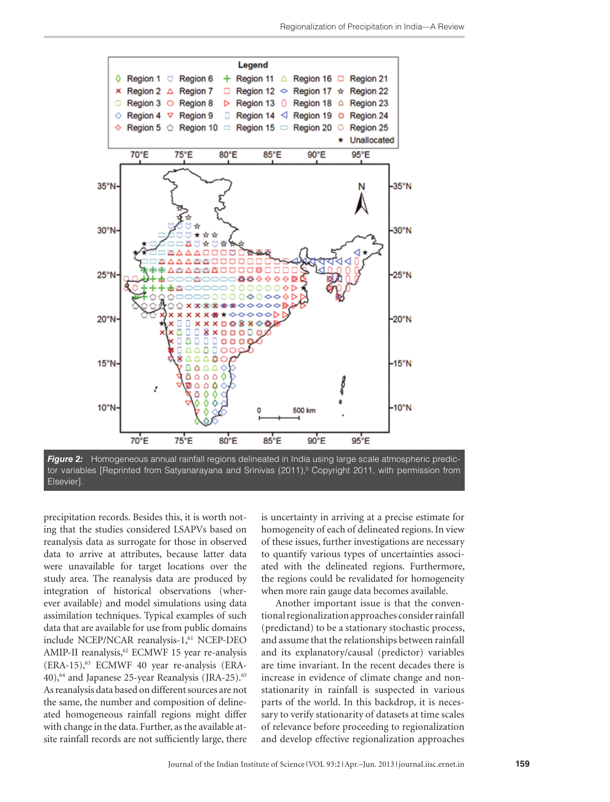

tor variables [Reprinted from Satyanarayana and Srinivas (2011),<sup>3</sup> Copyright 2011, with permission from Elsevier].

precipitation records. Besides this, it is worth noting that the studies considered LSAPVs based on reanalysis data as surrogate for those in observed data to arrive at attributes, because latter data were unavailable for target locations over the study area. The reanalysis data are produced by integration of historical observations (wherever available) and model simulations using data assimilation techniques. Typical examples of such data that are available for use from public domains include NCEP/NCAR reanalysis-1,<sup>61</sup> NCEP-DEO AMIP-II reanalysis,<sup>62</sup> ECMWF 15 year re-analysis  $(ERA-15)$ ,<sup>63</sup> ECMWF 40 year re-analysis  $(ERA-15)$ 40),<sup>64</sup> and Japanese 25-year Reanalysis (JRA-25).<sup>65</sup> As reanalysis data based on different sources are not the same, the number and composition of delineated homogeneous rainfall regions might differ with change in the data. Further, as the available atsite rainfall records are not sufficiently large, there

is uncertainty in arriving at a precise estimate for homogeneity of each of delineated regions. In view of these issues, further investigations are necessary to quantify various types of uncertainties associated with the delineated regions. Furthermore, the regions could be revalidated for homogeneity when more rain gauge data becomes available.

Another important issue is that the conventional regionalization approaches consider rainfall (predictand) to be a stationary stochastic process, and assume that the relationships between rainfall and its explanatory/causal (predictor) variables are time invariant. In the recent decades there is increase in evidence of climate change and nonstationarity in rainfall is suspected in various parts of the world. In this backdrop, it is necessary to verify stationarity of datasets at time scales of relevance before proceeding to regionalization and develop effective regionalization approaches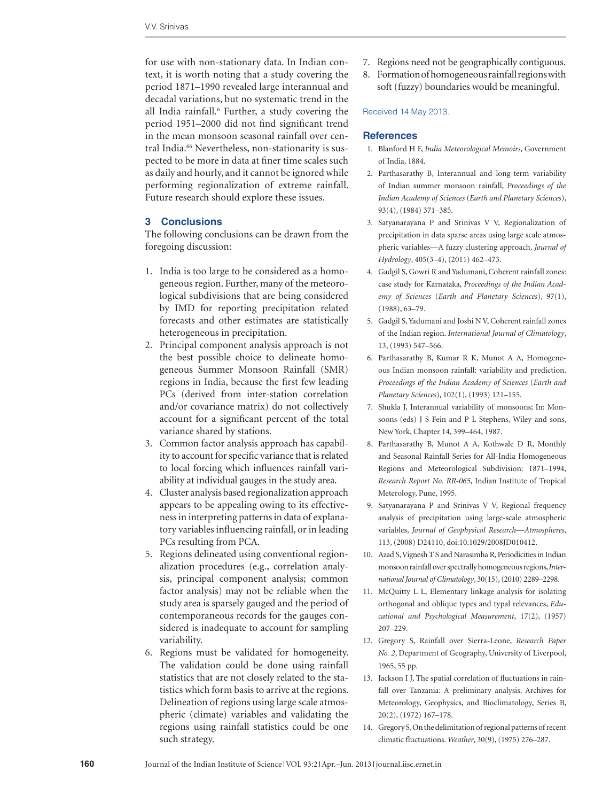for use with non-stationary data. In Indian context, it is worth noting that a study covering the period 1871–1990 revealed large interannual and decadal variations, but no systematic trend in the all India rainfall.<sup>6</sup> Further, a study covering the period 1951–2000 did not find significant trend in the mean monsoon seasonal rainfall over central India.<sup>66</sup> Nevertheless, non-stationarity is suspected to be more in data at finer time scales such as daily and hourly, and it cannot be ignored while performing regionalization of extreme rainfall. Future research should explore these issues.

#### **3 Conclusions**

The following conclusions can be drawn from the foregoing discussion:

- 1. India is too large to be considered as a homogeneous region. Further, many of the meteorological subdivisions that are being considered by IMD for reporting precipitation related forecasts and other estimates are statistically heterogeneous in precipitation.
- 2. Principal component analysis approach is not the best possible choice to delineate homogeneous Summer Monsoon Rainfall (SMR) regions in India, because the first few leading PCs (derived from inter-station correlation and/or covariance matrix) do not collectively account for a significant percent of the total variance shared by stations.
- 3. Common factor analysis approach has capability to account for specific variance that is related to local forcing which influences rainfall variability at individual gauges in the study area.
- 4. Cluster analysis based regionalization approach appears to be appealing owing to its effectiveness in interpreting patterns in data of explanatory variables influencing rainfall, or in leading PCs resulting from PCA.
- 5. Regions delineated using conventional regionalization procedures (e.g., correlation analysis, principal component analysis; common factor analysis) may not be reliable when the study area is sparsely gauged and the period of contemporaneous records for the gauges considered is inadequate to account for sampling variability.
- 6. Regions must be validated for homogeneity. The validation could be done using rainfall statistics that are not closely related to the statistics which form basis to arrive at the regions. Delineation of regions using large scale atmospheric (climate) variables and validating the regions using rainfall statistics could be one such strategy.
- 7. Regions need not be geographically contiguous.
- 8. Formation of homogeneous rainfall regions with soft (fuzzy) boundaries would be meaningful.

#### Received 14 May 2013.

#### **References**

- 1. Blanford H F, *India Meteorological Memoirs*, Government of India, 1884.
- 2. Parthasarathy B, Interannual and long-term variability of Indian summer monsoon rainfall, *Proceedings of the Indian Academy of Sciences* (*Earth and Planetary Sciences*), 93(4), (1984) 371–385.
- 3. Satyanarayana P and Srinivas V V, Regionalization of precipitation in data sparse areas using large scale atmospheric variables—A fuzzy clustering approach, *Journal of Hydrology*, 405(3–4), (2011) 462–473.
- 4. Gadgil S, Gowri R and Yadumani, Coherent rainfall zones: case study for Karnataka, *Proceedings of the Indian Academy of Sciences* (*Earth and Planetary Sciences*), 97(1), (1988), 63–79.
- 5. Gadgil S, Yadumani and Joshi N V, Coherent rainfall zones of the Indian region. *International Journal of Climatology*, 13, (1993) 547–566.
- 6. Parthasarathy B, Kumar R K, Munot A A, Homogeneous Indian monsoon rainfall: variability and prediction. *Proceedings of the Indian Academy of Sciences* (*Earth and Planetary Sciences*), 102(1), (1993) 121–155.
- 7. Shukla J, Interannual variability of monsoons; In: Monsoons (eds) J S Fein and P L Stephens, Wiley and sons, New York, Chapter 14, 399–464, 1987.
- 8. Parthasarathy B, Munot A A, Kothwale D R, Monthly and Seasonal Rainfall Series for All-India Homogeneous Regions and Meteorological Subdivision: 1871–1994, *Research Report No. RR-065*, Indian Institute of Tropical Meterology, Pune, 1995.
- 9. Satyanarayana P and Srinivas V V, Regional frequency analysis of precipitation using large-scale atmospheric variables, *Journal of Geophysical Research—Atmospheres*, 113, (2008) D24110, doi:10.1029/2008JD010412.
- 10. Azad S, Vignesh T S and Narasimha R, Periodicities in Indian monsoon rainfall over spectrally homogeneous regions, *International Journal of Climatology*, 30(15), (2010) 2289–2298.
- 11. McQuitty L L, Elementary linkage analysis for isolating orthogonal and oblique types and typal relevances, *Educational and Psychological Measurement*, 17(2), (1957) 207–229.
- 12. Gregory S, Rainfall over Sierra-Leone, *Research Paper No. 2*, Department of Geography, University of Liverpool, 1965, 55 pp.
- 13. Jackson I J, The spatial correlation of fluctuations in rainfall over Tanzania: A preliminary analysis. Archives for Meteorology, Geophysics, and Bioclimatology, Series B, 20(2), (1972) 167–178.
- 14. Gregory S, On the delimitation of regional patterns of recent climatic fluctuations. *Weather*, 30(9), (1975) 276–287.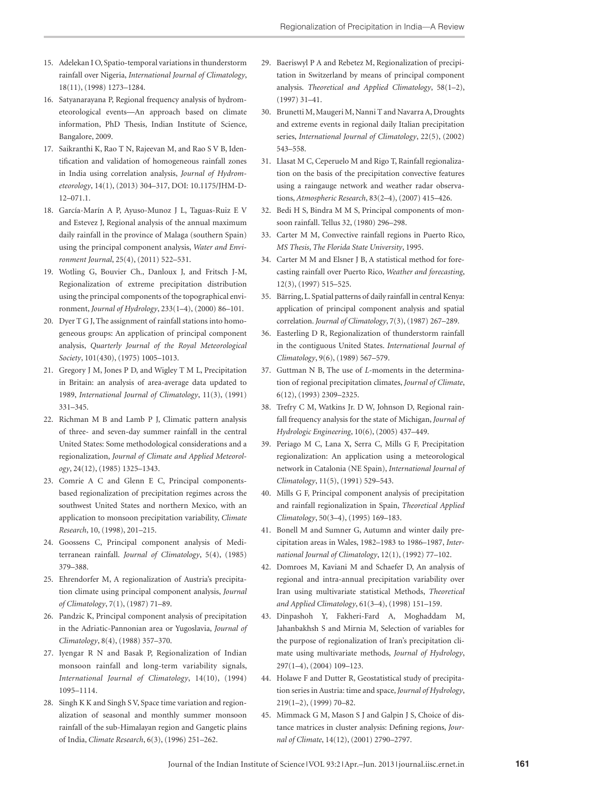- 15. Adelekan I O, Spatio-temporal variations in thunderstorm rainfall over Nigeria, *International Journal of Climatology*, 18(11), (1998) 1273–1284.
- 16. Satyanarayana P, Regional frequency analysis of hydrometeorological events—An approach based on climate information, PhD Thesis, Indian Institute of Science, Bangalore, 2009.
- 17. Saikranthi K, Rao T N, Rajeevan M, and Rao S V B, Identification and validation of homogeneous rainfall zones in India using correlation analysis, *Journal of Hydrometeorology*, 14(1), (2013) 304–317, DOI: 10.1175/JHM-D-12–071.1.
- 18. García-Marín A P, Ayuso-Munoz J L, Taguas-Ruiz E V and Estevez J, Regional analysis of the annual maximum daily rainfall in the province of Malaga (southern Spain) using the principal component analysis, *Water and Environment Journal*, 25(4), (2011) 522–531.
- 19. Wotling G, Bouvier Ch., Danloux J, and Fritsch J-M, Regionalization of extreme precipitation distribution using the principal components of the topographical environment, *Journal of Hydrology*, 233(1–4), (2000) 86–101.
- 20. Dyer T G J, The assignment of rainfall stations into homogeneous groups: An application of principal component analysis, *Quarterly Journal of the Royal Meteorological Society*, 101(430), (1975) 1005–1013.
- 21. Gregory J M, Jones P D, and Wigley T M L, Precipitation in Britain: an analysis of area-average data updated to 1989, *International Journal of Climatology*, 11(3), (1991) 331–345.
- 22. Richman M B and Lamb P J, Climatic pattern analysis of three- and seven-day summer rainfall in the central United States: Some methodological considerations and a regionalization, *Journal of Climate and Applied Meteorology*, 24(12), (1985) 1325–1343.
- 23. Comrie A C and Glenn E C, Principal componentsbased regionalization of precipitation regimes across the southwest United States and northern Mexico, with an application to monsoon precipitation variability, *Climate Research*, 10, (1998), 201–215.
- 24. Goossens C, Principal component analysis of Mediterranean rainfall. *Journal of Climatology*, 5(4), (1985) 379–388.
- 25. Ehrendorfer M, A regionalization of Austria's precipitation climate using principal component analysis, *Journal of Climatology*, 7(1), (1987) 71–89.
- 26. Pandzic K, Principal component analysis of precipitation in the Adriatic-Pannonian area or Yugoslavia, *Journal of Climatology*, 8(4), (1988) 357–370.
- 27. Iyengar R N and Basak P, Regionalization of Indian monsoon rainfall and long-term variability signals, *International Journal of Climatology*, 14(10), (1994) 1095–1114.
- 28. Singh K K and Singh S V, Space time variation and regionalization of seasonal and monthly summer monsoon rainfall of the sub-Himalayan region and Gangetic plains of India, *Climate Research*, 6(3), (1996) 251–262.
- 29. Baeriswyl P A and Rebetez M, Regionalization of precipitation in Switzerland by means of principal component analysis. *Theoretical and Applied Climatology*, 58(1–2), (1997) 31–41.
- 30. Brunetti M, Maugeri M, Nanni T and Navarra A, Droughts and extreme events in regional daily Italian precipitation series, *International Journal of Climatology*, 22(5), (2002) 543–558.
- 31. Llasat M C, Ceperuelo M and Rigo T, Rainfall regionalization on the basis of the precipitation convective features using a raingauge network and weather radar observations, *Atmospheric Research*, 83(2–4), (2007) 415–426.
- 32. Bedi H S, Bindra M M S, Principal components of monsoon rainfall. Tellus 32, (1980) 296–298.
- 33. Carter M M, Convective rainfall regions in Puerto Rico, *MS Thesis*, *The Florida State University*, 1995.
- 34. Carter M M and Elsner J B, A statistical method for forecasting rainfall over Puerto Rico, *Weather and forecasting*, 12(3), (1997) 515–525.
- 35. Bärring, L. Spatial patterns of daily rainfall in central Kenya: application of principal component analysis and spatial correlation. *Journal of Climatology*, 7(3), (1987) 267–289.
- 36. Easterling D R, Regionalization of thunderstorm rainfall in the contiguous United States. *International Journal of Climatology*, 9(6), (1989) 567–579.
- 37. Guttman N B, The use of *L*-moments in the determination of regional precipitation climates, *Journal of Climate*, 6(12), (1993) 2309–2325.
- 38. Trefry C M, Watkins Jr. D W, Johnson D, Regional rainfall frequency analysis for the state of Michigan, *Journal of Hydrologic Engineering*, 10(6), (2005) 437–449.
- 39. Periago M C, Lana X, Serra C, Mills G F, Precipitation regionalization: An application using a meteorological network in Catalonia (NE Spain), *International Journal of Climatology*, 11(5), (1991) 529–543.
- 40. Mills G F, Principal component analysis of precipitation and rainfall regionalization in Spain, *Theoretical Applied Climatology*, 50(3–4), (1995) 169–183.
- 41. Bonell M and Sumner G, Autumn and winter daily precipitation areas in Wales, 1982–1983 to 1986–1987, *International Journal of Climatology*, 12(1), (1992) 77–102.
- 42. Domroes M, Kaviani M and Schaefer D, An analysis of regional and intra-annual precipitation variability over Iran using multivariate statistical Methods, *Theoretical and Applied Climatology*, 61(3–4), (1998) 151–159.
- 43. Dinpashoh Y, Fakheri-Fard A, Moghaddam M, Jahanbakhsh S and Mirnia M, Selection of variables for the purpose of regionalization of Iran's precipitation climate using multivariate methods, *Journal of Hydrology*, 297(1–4), (2004) 109–123.
- 44. Holawe F and Dutter R, Geostatistical study of precipitation series in Austria: time and space, *Journal of Hydrology*, 219(1–2), (1999) 70–82.
- 45. Mimmack G M, Mason S J and Galpin J S, Choice of distance matrices in cluster analysis: Defining regions, *Journal of Climate*, 14(12), (2001) 2790–2797.